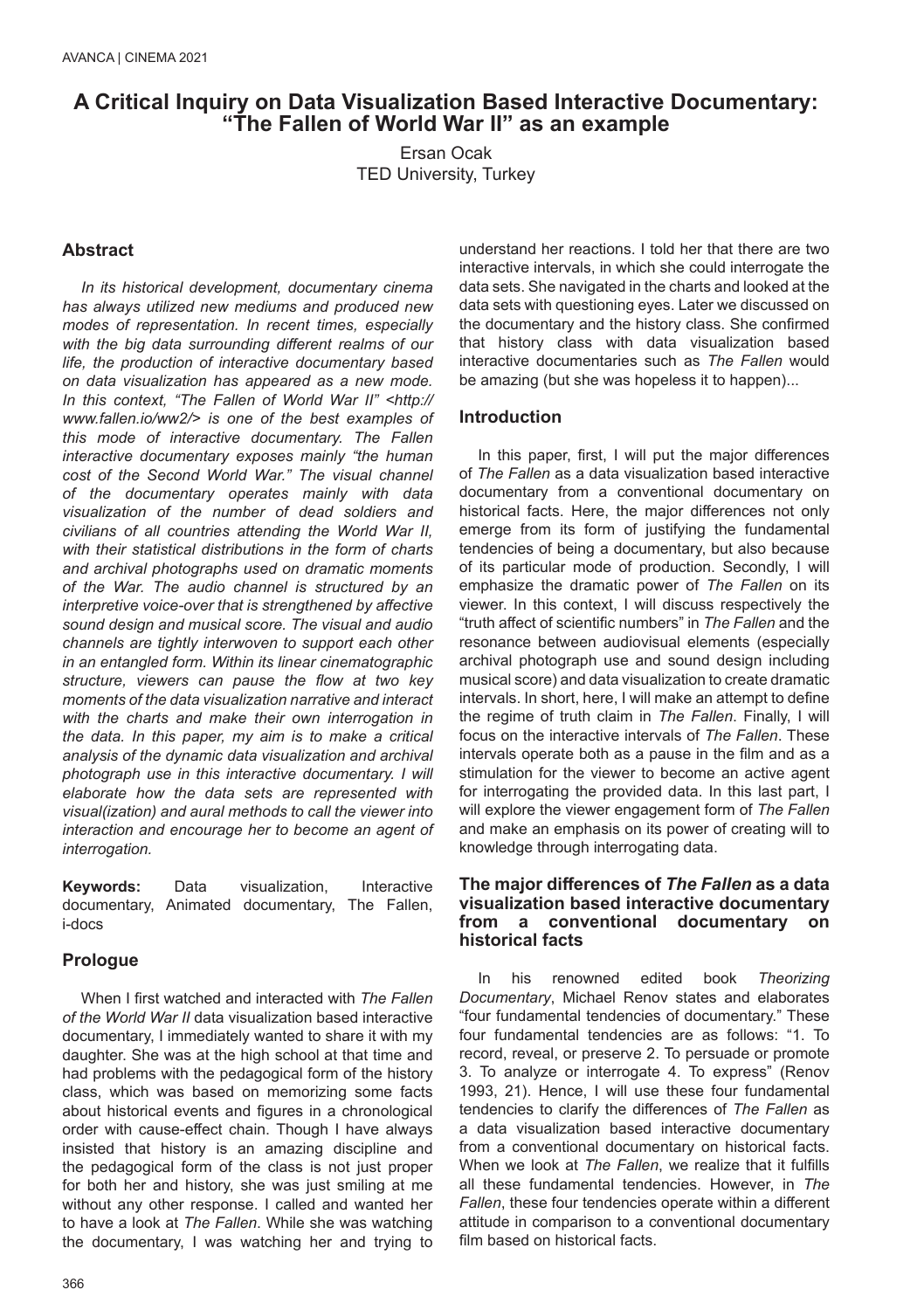# **A Critical Inquiry on Data Visualization Based Interactive Documentary: "The Fallen of World War II" as an example**

Ersan Ocak TED University, Turkey

## **Abstract**

*In its historical development, documentary cinema has always utilized new mediums and produced new modes of representation. In recent times, especially with the big data surrounding different realms of our life, the production of interactive documentary based on data visualization has appeared as a new mode. In this context, "The Fallen of World War II" <http:// www.fallen.io/ww2/> is one of the best examples of this mode of interactive documentary. The Fallen interactive documentary exposes mainly "the human cost of the Second World War." The visual channel of the documentary operates mainly with data visualization of the number of dead soldiers and civilians of all countries attending the World War II, with their statistical distributions in the form of charts and archival photographs used on dramatic moments of the War. The audio channel is structured by an interpretive voice-over that is strengthened by affective sound design and musical score. The visual and audio channels are tightly interwoven to support each other in an entangled form. Within its linear cinematographic structure, viewers can pause the flow at two key moments of the data visualization narrative and interact with the charts and make their own interrogation in the data. In this paper, my aim is to make a critical analysis of the dynamic data visualization and archival photograph use in this interactive documentary. I will elaborate how the data sets are represented with visual(ization) and aural methods to call the viewer into interaction and encourage her to become an agent of interrogation.*

**Keywords:** Data visualization, Interactive documentary, Animated documentary, The Fallen, i-docs

# **Prologue**

When I first watched and interacted with *The Fallen of the World War II* data visualization based interactive documentary, I immediately wanted to share it with my daughter. She was at the high school at that time and had problems with the pedagogical form of the history class, which was based on memorizing some facts about historical events and figures in a chronological order with cause-effect chain. Though I have always insisted that history is an amazing discipline and the pedagogical form of the class is not just proper for both her and history, she was just smiling at me without any other response. I called and wanted her to have a look at *The Fallen*. While she was watching the documentary, I was watching her and trying to

understand her reactions. I told her that there are two interactive intervals, in which she could interrogate the data sets. She navigated in the charts and looked at the data sets with questioning eyes. Later we discussed on the documentary and the history class. She confirmed that history class with data visualization based interactive documentaries such as *The Fallen* would be amazing (but she was hopeless it to happen)...

### **Introduction**

In this paper, first, I will put the major differences of *The Fallen* as a data visualization based interactive documentary from a conventional documentary on historical facts. Here, the major differences not only emerge from its form of justifying the fundamental tendencies of being a documentary, but also because of its particular mode of production. Secondly, I will emphasize the dramatic power of *The Fallen* on its viewer. In this context, I will discuss respectively the "truth affect of scientific numbers" in *The Fallen* and the resonance between audiovisual elements (especially archival photograph use and sound design including musical score) and data visualization to create dramatic intervals. In short, here, I will make an attempt to define the regime of truth claim in *The Fallen*. Finally, I will focus on the interactive intervals of *The Fallen*. These intervals operate both as a pause in the film and as a stimulation for the viewer to become an active agent for interrogating the provided data. In this last part, I will explore the viewer engagement form of *The Fallen*  and make an emphasis on its power of creating will to knowledge through interrogating data.

#### **The major differences of** *The Fallen* **as a data visualization based interactive documentary**  from a conventional documentary **historical facts**

In his renowned edited book *Theorizing Documentary*, Michael Renov states and elaborates "four fundamental tendencies of documentary." These four fundamental tendencies are as follows: "1. To record, reveal, or preserve 2. To persuade or promote 3. To analyze or interrogate 4. To express" (Renov 1993, 21). Hence, I will use these four fundamental tendencies to clarify the differences of *The Fallen* as a data visualization based interactive documentary from a conventional documentary on historical facts. When we look at *The Fallen*, we realize that it fulfills all these fundamental tendencies. However, in *The Fallen*, these four tendencies operate within a different attitude in comparison to a conventional documentary film based on historical facts.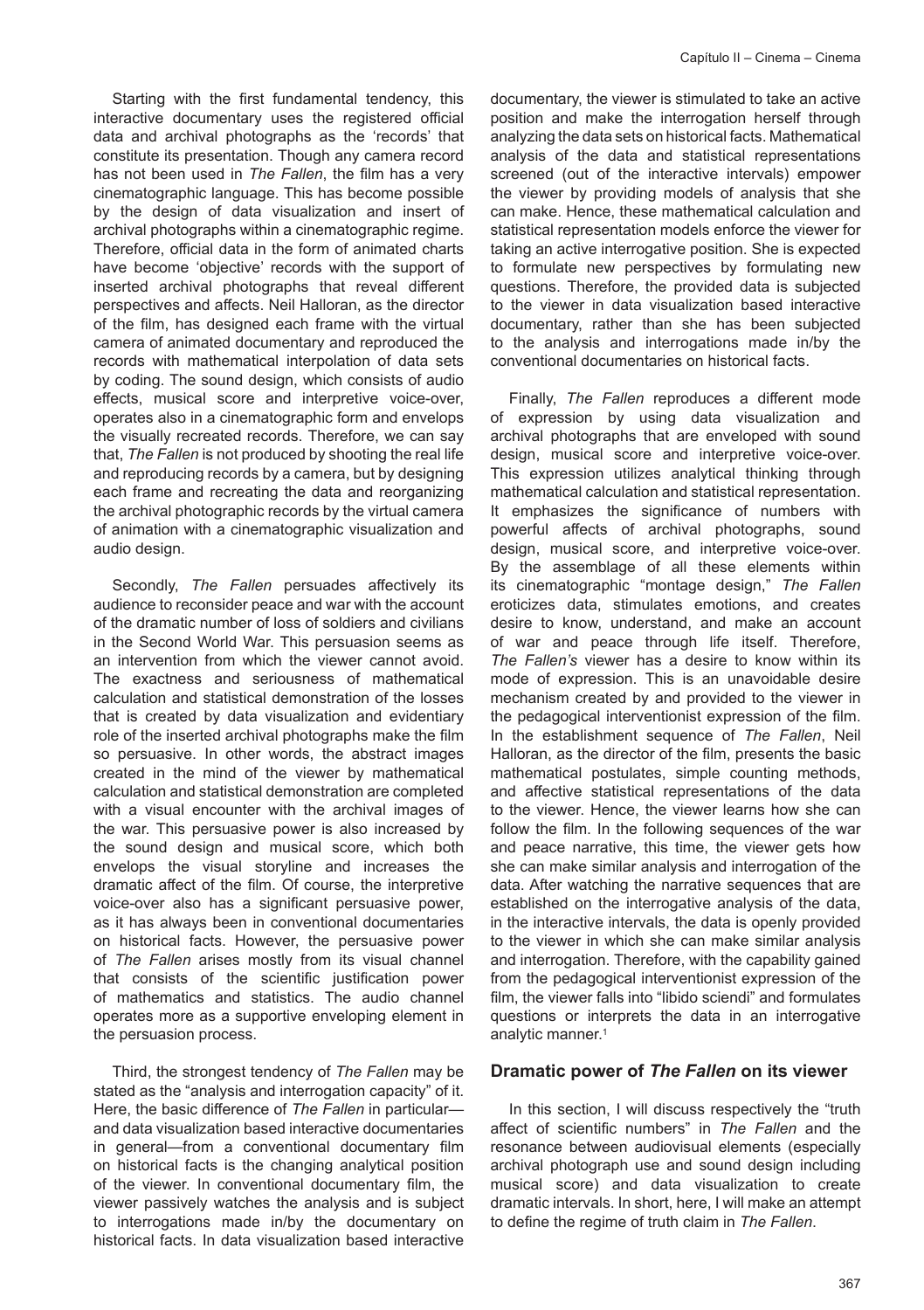Starting with the first fundamental tendency, this interactive documentary uses the registered official data and archival photographs as the 'records' that constitute its presentation. Though any camera record has not been used in *The Fallen*, the film has a very cinematographic language. This has become possible by the design of data visualization and insert of archival photographs within a cinematographic regime. Therefore, official data in the form of animated charts have become 'objective' records with the support of inserted archival photographs that reveal different perspectives and affects. Neil Halloran, as the director of the film, has designed each frame with the virtual camera of animated documentary and reproduced the records with mathematical interpolation of data sets by coding. The sound design, which consists of audio effects, musical score and interpretive voice-over, operates also in a cinematographic form and envelops the visually recreated records. Therefore, we can say that, *The Fallen* is not produced by shooting the real life and reproducing records by a camera, but by designing each frame and recreating the data and reorganizing the archival photographic records by the virtual camera of animation with a cinematographic visualization and audio design.

Secondly, *The Fallen* persuades affectively its audience to reconsider peace and war with the account of the dramatic number of loss of soldiers and civilians in the Second World War. This persuasion seems as an intervention from which the viewer cannot avoid. The exactness and seriousness of mathematical calculation and statistical demonstration of the losses that is created by data visualization and evidentiary role of the inserted archival photographs make the film so persuasive. In other words, the abstract images created in the mind of the viewer by mathematical calculation and statistical demonstration are completed with a visual encounter with the archival images of the war. This persuasive power is also increased by the sound design and musical score, which both envelops the visual storyline and increases the dramatic affect of the film. Of course, the interpretive voice-over also has a significant persuasive power, as it has always been in conventional documentaries on historical facts. However, the persuasive power of *The Fallen* arises mostly from its visual channel that consists of the scientific justification power of mathematics and statistics. The audio channel operates more as a supportive enveloping element in the persuasion process.

Third, the strongest tendency of *The Fallen* may be stated as the "analysis and interrogation capacity" of it. Here, the basic difference of *The Fallen* in particular and data visualization based interactive documentaries in general—from a conventional documentary film on historical facts is the changing analytical position of the viewer. In conventional documentary film, the viewer passively watches the analysis and is subject to interrogations made in/by the documentary on historical facts. In data visualization based interactive

documentary, the viewer is stimulated to take an active position and make the interrogation herself through analyzing the data sets on historical facts. Mathematical analysis of the data and statistical representations screened (out of the interactive intervals) empower the viewer by providing models of analysis that she can make. Hence, these mathematical calculation and statistical representation models enforce the viewer for taking an active interrogative position. She is expected to formulate new perspectives by formulating new questions. Therefore, the provided data is subjected to the viewer in data visualization based interactive documentary, rather than she has been subjected to the analysis and interrogations made in/by the conventional documentaries on historical facts.

Finally, *The Fallen* reproduces a different mode of expression by using data visualization and archival photographs that are enveloped with sound design, musical score and interpretive voice-over. This expression utilizes analytical thinking through mathematical calculation and statistical representation. It emphasizes the significance of numbers with powerful affects of archival photographs, sound design, musical score, and interpretive voice-over. By the assemblage of all these elements within its cinematographic "montage design," *The Fallen*  eroticizes data, stimulates emotions, and creates desire to know, understand, and make an account of war and peace through life itself. Therefore, *The Fallen's* viewer has a desire to know within its mode of expression. This is an unavoidable desire mechanism created by and provided to the viewer in the pedagogical interventionist expression of the film. In the establishment sequence of *The Fallen*, Neil Halloran, as the director of the film, presents the basic mathematical postulates, simple counting methods, and affective statistical representations of the data to the viewer. Hence, the viewer learns how she can follow the film. In the following sequences of the war and peace narrative, this time, the viewer gets how she can make similar analysis and interrogation of the data. After watching the narrative sequences that are established on the interrogative analysis of the data, in the interactive intervals, the data is openly provided to the viewer in which she can make similar analysis and interrogation. Therefore, with the capability gained from the pedagogical interventionist expression of the film, the viewer falls into "libido sciendi" and formulates questions or interprets the data in an interrogative analytic manner.<sup>1</sup>

#### **Dramatic power of** *The Fallen* **on its viewer**

In this section. I will discuss respectively the "truth" affect of scientific numbers" in *The Fallen* and the resonance between audiovisual elements (especially archival photograph use and sound design including musical score) and data visualization to create dramatic intervals. In short, here, I will make an attempt to define the regime of truth claim in *The Fallen*.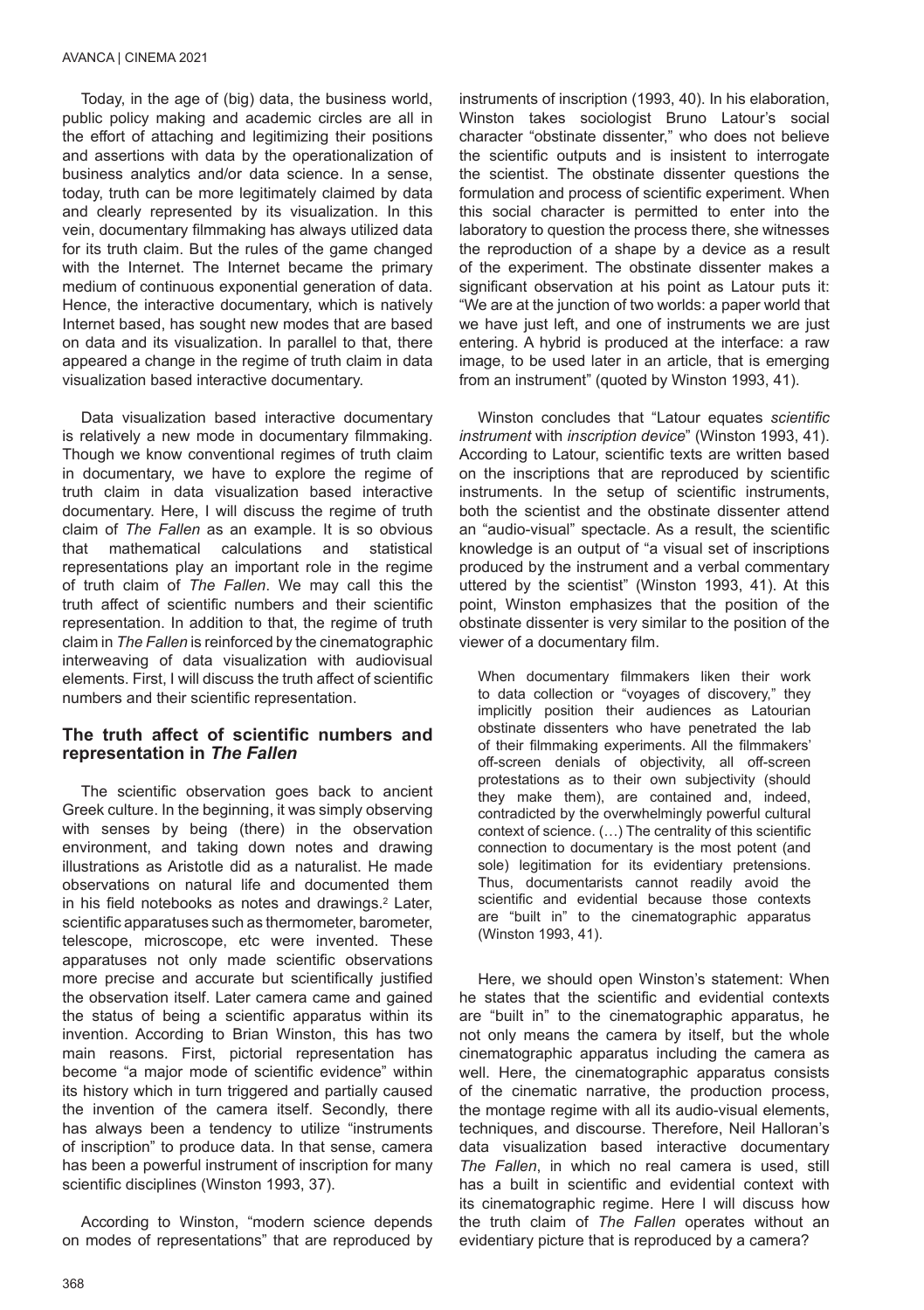Today, in the age of (big) data, the business world, public policy making and academic circles are all in the effort of attaching and legitimizing their positions and assertions with data by the operationalization of business analytics and/or data science. In a sense, today, truth can be more legitimately claimed by data and clearly represented by its visualization. In this vein, documentary filmmaking has always utilized data for its truth claim. But the rules of the game changed with the Internet. The Internet became the primary medium of continuous exponential generation of data. Hence, the interactive documentary, which is natively Internet based, has sought new modes that are based on data and its visualization. In parallel to that, there appeared a change in the regime of truth claim in data visualization based interactive documentary.

Data visualization based interactive documentary is relatively a new mode in documentary filmmaking. Though we know conventional regimes of truth claim in documentary, we have to explore the regime of truth claim in data visualization based interactive documentary. Here, I will discuss the regime of truth claim of *The Fallen* as an example. It is so obvious that mathematical calculations and statistical representations play an important role in the regime of truth claim of *The Fallen*. We may call this the truth affect of scientific numbers and their scientific representation. In addition to that, the regime of truth claim in *The Fallen* is reinforced by the cinematographic interweaving of data visualization with audiovisual elements. First, I will discuss the truth affect of scientific numbers and their scientific representation.

#### **The truth affect of scientific numbers and representation in** *The Fallen*

The scientific observation goes back to ancient Greek culture. In the beginning, it was simply observing with senses by being (there) in the observation environment, and taking down notes and drawing illustrations as Aristotle did as a naturalist. He made observations on natural life and documented them in his field notebooks as notes and drawings.<sup>2</sup> Later, scientific apparatuses such as thermometer, barometer, telescope, microscope, etc were invented. These apparatuses not only made scientific observations more precise and accurate but scientifically justified the observation itself. Later camera came and gained the status of being a scientific apparatus within its invention. According to Brian Winston, this has two main reasons. First, pictorial representation has become "a major mode of scientific evidence" within its history which in turn triggered and partially caused the invention of the camera itself. Secondly, there has always been a tendency to utilize "instruments of inscription" to produce data. In that sense, camera has been a powerful instrument of inscription for many scientific disciplines (Winston 1993, 37).

According to Winston, "modern science depends on modes of representations" that are reproduced by instruments of inscription (1993, 40). In his elaboration, Winston takes sociologist Bruno Latour's social character "obstinate dissenter," who does not believe the scientific outputs and is insistent to interrogate the scientist. The obstinate dissenter questions the formulation and process of scientific experiment. When this social character is permitted to enter into the laboratory to question the process there, she witnesses the reproduction of a shape by a device as a result of the experiment. The obstinate dissenter makes a significant observation at his point as Latour puts it: "We are at the junction of two worlds: a paper world that we have just left, and one of instruments we are just entering. A hybrid is produced at the interface: a raw image, to be used later in an article, that is emerging from an instrument" (quoted by Winston 1993, 41).

Winston concludes that "Latour equates *scientific instrument* with *inscription device*" (Winston 1993, 41). According to Latour, scientific texts are written based on the inscriptions that are reproduced by scientific instruments. In the setup of scientific instruments, both the scientist and the obstinate dissenter attend an "audio-visual" spectacle. As a result, the scientific knowledge is an output of "a visual set of inscriptions produced by the instrument and a verbal commentary uttered by the scientist" (Winston 1993, 41). At this point, Winston emphasizes that the position of the obstinate dissenter is very similar to the position of the viewer of a documentary film.

When documentary filmmakers liken their work to data collection or "voyages of discovery," they implicitly position their audiences as Latourian obstinate dissenters who have penetrated the lab of their filmmaking experiments. All the filmmakers' off-screen denials of objectivity, all off-screen protestations as to their own subjectivity (should they make them), are contained and, indeed, contradicted by the overwhelmingly powerful cultural context of science. (…) The centrality of this scientific connection to documentary is the most potent (and sole) legitimation for its evidentiary pretensions. Thus, documentarists cannot readily avoid the scientific and evidential because those contexts are "built in" to the cinematographic apparatus (Winston 1993, 41).

Here, we should open Winston's statement: When he states that the scientific and evidential contexts are "built in" to the cinematographic apparatus, he not only means the camera by itself, but the whole cinematographic apparatus including the camera as well. Here, the cinematographic apparatus consists of the cinematic narrative, the production process, the montage regime with all its audio-visual elements, techniques, and discourse. Therefore, Neil Halloran's data visualization based interactive documentary *The Fallen*, in which no real camera is used, still has a built in scientific and evidential context with its cinematographic regime. Here I will discuss how the truth claim of *The Fallen* operates without an evidentiary picture that is reproduced by a camera?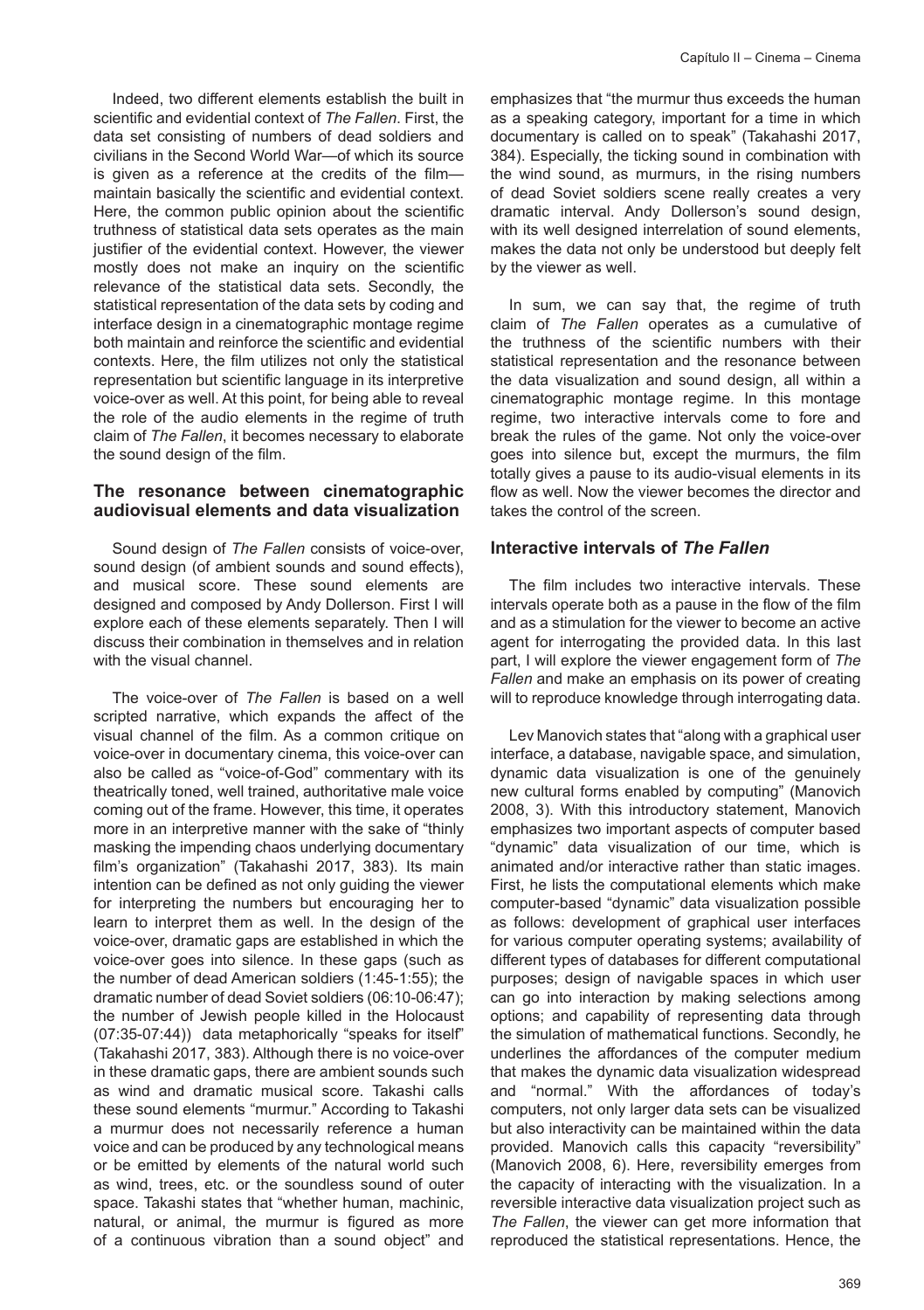Indeed, two different elements establish the built in scientific and evidential context of *The Fallen*. First, the data set consisting of numbers of dead soldiers and civilians in the Second World War—of which its source is given as a reference at the credits of the film maintain basically the scientific and evidential context. Here, the common public opinion about the scientific truthness of statistical data sets operates as the main justifier of the evidential context. However, the viewer mostly does not make an inquiry on the scientific relevance of the statistical data sets. Secondly, the statistical representation of the data sets by coding and interface design in a cinematographic montage regime both maintain and reinforce the scientific and evidential contexts. Here, the film utilizes not only the statistical representation but scientific language in its interpretive voice-over as well. At this point, for being able to reveal the role of the audio elements in the regime of truth claim of *The Fallen*, it becomes necessary to elaborate the sound design of the film.

#### **The resonance between cinematographic audiovisual elements and data visualization**

Sound design of *The Fallen* consists of voice-over, sound design (of ambient sounds and sound effects), and musical score. These sound elements are designed and composed by Andy Dollerson. First I will explore each of these elements separately. Then I will discuss their combination in themselves and in relation with the visual channel.

The voice-over of *The Fallen* is based on a well scripted narrative, which expands the affect of the visual channel of the film. As a common critique on voice-over in documentary cinema, this voice-over can also be called as "voice-of-God" commentary with its theatrically toned, well trained, authoritative male voice coming out of the frame. However, this time, it operates more in an interpretive manner with the sake of "thinly masking the impending chaos underlying documentary film's organization" (Takahashi 2017, 383). Its main intention can be defined as not only guiding the viewer for interpreting the numbers but encouraging her to learn to interpret them as well. In the design of the voice-over, dramatic gaps are established in which the voice-over goes into silence. In these gaps (such as the number of dead American soldiers (1:45-1:55); the dramatic number of dead Soviet soldiers (06:10-06:47); the number of Jewish people killed in the Holocaust (07:35-07:44)) data metaphorically "speaks for itself" (Takahashi 2017, 383). Although there is no voice-over in these dramatic gaps, there are ambient sounds such as wind and dramatic musical score. Takashi calls these sound elements "murmur." According to Takashi a murmur does not necessarily reference a human voice and can be produced by any technological means or be emitted by elements of the natural world such as wind, trees, etc. or the soundless sound of outer space. Takashi states that "whether human, machinic, natural, or animal, the murmur is figured as more of a continuous vibration than a sound object" and emphasizes that "the murmur thus exceeds the human as a speaking category, important for a time in which documentary is called on to speak" (Takahashi 2017, 384). Especially, the ticking sound in combination with the wind sound, as murmurs, in the rising numbers of dead Soviet soldiers scene really creates a very dramatic interval. Andy Dollerson's sound design, with its well designed interrelation of sound elements, makes the data not only be understood but deeply felt by the viewer as well.

In sum, we can say that, the regime of truth claim of *The Fallen* operates as a cumulative of the truthness of the scientific numbers with their statistical representation and the resonance between the data visualization and sound design, all within a cinematographic montage regime. In this montage regime, two interactive intervals come to fore and break the rules of the game. Not only the voice-over goes into silence but, except the murmurs, the film totally gives a pause to its audio-visual elements in its flow as well. Now the viewer becomes the director and takes the control of the screen.

### **Interactive intervals of** *The Fallen*

The film includes two interactive intervals. These intervals operate both as a pause in the flow of the film and as a stimulation for the viewer to become an active agent for interrogating the provided data. In this last part, I will explore the viewer engagement form of *The Fallen* and make an emphasis on its power of creating will to reproduce knowledge through interrogating data.

Lev Manovich states that "along with a graphical user interface, a database, navigable space, and simulation, dynamic data visualization is one of the genuinely new cultural forms enabled by computing" (Manovich 2008, 3). With this introductory statement, Manovich emphasizes two important aspects of computer based "dynamic" data visualization of our time, which is animated and/or interactive rather than static images First, he lists the computational elements which make computer-based "dynamic" data visualization possible as follows: development of graphical user interfaces for various computer operating systems; availability of different types of databases for different computational purposes; design of navigable spaces in which user can go into interaction by making selections among options; and capability of representing data through the simulation of mathematical functions. Secondly, he underlines the affordances of the computer medium that makes the dynamic data visualization widespread and "normal." With the affordances of today's computers, not only larger data sets can be visualized but also interactivity can be maintained within the data provided. Manovich calls this capacity "reversibility" (Manovich 2008, 6). Here, reversibility emerges from the capacity of interacting with the visualization. In a reversible interactive data visualization project such as *The Fallen*, the viewer can get more information that reproduced the statistical representations. Hence, the